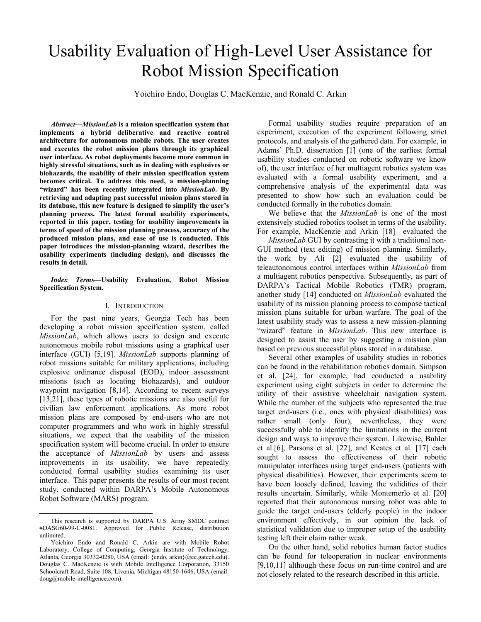# Usability Evaluation of High-Level User Assistance for Robot Mission Specification

Yoichiro Endo, Douglas C. MacKenzie, and Ronald C. Arkin

*Abstract***—***MissionLab* **is a mission specification system that implements a hybrid deliberative and reactive control architecture for autonomous mobile robots. The user creates and executes the robot mission plans through its graphical user interface. As robot deployments become more common in highly stressful situations, such as in dealing with explosives or biohazards, the usability of their mission specification system becomes critical. To address this need, a mission-planning "wizard" has been recently integrated into** *MissionLab***. By retrieving and adapting past successful mission plans stored in its database, this new feature is designed to simplify the user's planning process. The latest formal usability experiments, reported in this paper, testing for usability improvements in terms of speed of the mission planning process, accuracy of the produced mission plans, and ease of use is conducted. This paper introduces the mission-planning wizard, describes the usability experiments (including design), and discusses the results in detail.** 

*Index Terms***—Usability Evaluation, Robot Mission Specification System.** 

#### I. INTRODUCTION

For the past nine years, Georgia Tech has been developing a robot mission specification system, called *MissionLab*, which allows users to design and execute autonomous mobile robot missions using a graphical user interface (GUI) [5,19]. *MissionLab* supports planning of robot missions suitable for military applications, including explosive ordinance disposal (EOD), indoor assessment missions (such as locating biohazards), and outdoor waypoint navigation [8,14]. According to recent surveys [13,21], these types of robotic missions are also useful for civilian law enforcement applications. As more robot mission plans are composed by end-users who are not computer programmers and who work in highly stressful situations, we expect that the usability of the mission specification system will become crucial. In order to ensure the acceptance of *MissionLab* by users and assess improvements in its usability, we have repeatedly conducted formal usability studies examining its user interface. This paper presents the results of our most recent study, conducted within DARPA's Mobile Autonomous Robot Software (MARS) program.

Formal usability studies require preparation of an experiment, execution of the experiment following strict protocols, and analysis of the gathered data. For example, in Adams' Ph.D. dissertation [1] (one of the earliest formal usability studies conducted on robotic software we know of), the user interface of her multiagent robotics system was evaluated with a formal usability experiment, and a comprehensive analysis of the experimental data was presented to show how such an evaluation could be conducted formally in the robotics domain.

We believe that the *MissionLab* is one of the most extensively studied robotics toolset in terms of the usability. For example, MacKenzie and Arkin [18] evaluated the

*MissionLab* GUI by contrasting it with a traditional non-GUI method (text editing) of mission planning. Similarly, the work by Ali [2] evaluated the usability of teleautonomous control interfaces within *MissionLab* from a multiagent robotics perspective. Subsequently, as part of DARPA's Tactical Mobile Robotics (TMR) program, another study [14] conducted on *MissionLab* evaluated the usability of its mission planning process to compose tactical mission plans suitable for urban warfare. The goal of the latest usability study was to assess a new mission-planning "wizard" feature in *MissionLab*. This new interface is designed to assist the user by suggesting a mission plan based on previous successful plans stored in a database.

Several other examples of usability studies in robotics can be found in the rehabilitation robotics domain. Simpson et al. [24], for example, had conducted a usability experiment using eight subjects in order to determine the utility of their assistive wheelchair navigation system. While the number of the subjects who represented the true target end-users (i.e., ones with physical disabilities) was rather small (only four), nevertheless, they were successfully able to identify the limitations in the current design and ways to improve their system. Likewise, Buhler et al.[6], Parsons et al. [22], and Keates et al. [17] each sought to assess the effectiveness of their robotic manipulator interfaces using target end-users (patients with physical disabilities). However, their experiments seem to have been loosely defined, leaving the validities of their results uncertain. Similarly, while Montemerlo et al. [20] reported that their autonomous nursing robot was able to guide the target end-users (elderly people) in the indoor environment effectively, in our opinion the lack of statistical validation due to improper setup of the usability testing left their claim rather weak.

On the other hand, solid robotics human factor studies can be found for teleoperation in nuclear environments [9,10,11] although these focus on run-time control and are not closely related to the research described in this article.

This research is supported by DARPA U.S. Army SMDC contract #DASG60-99-C-0081. Approved for Public Release, distribution unlimited.

Yoichiro Endo and Ronald C. Arkin are with Mobile Robot Laboratory, College of Computing, Georgia Institute of Technology, Atlanta, Georgia 30332-0280, USA (email: {endo, arkin}@cc.gatech.edu). Douglas C. MacKenzie is with Mobile Intelligence Corporation, 33150 Schoolcraft Road, Suite 108, Livonia, Michigan 48150-1646, USA (email: doug@mobile-intelligence.com).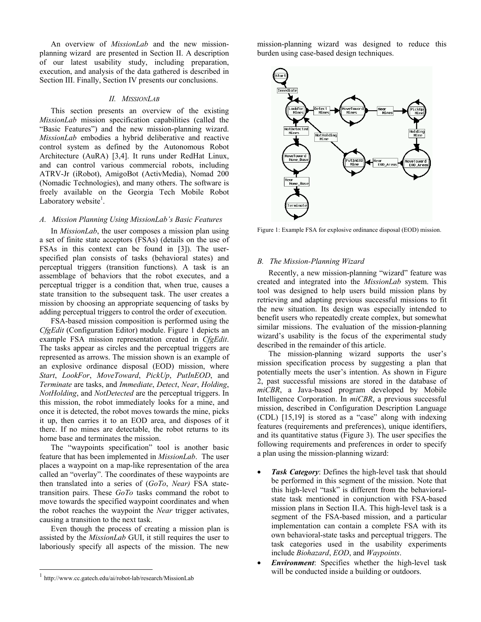An overview of *MissionLab* and the new missionplanning wizard are presented in Section II. A description of our latest usability study, including preparation, execution, and analysis of the data gathered is described in Section III. Finally, Section IV presents our conclusions.

# *II. MISSIONLAB*

This section presents an overview of the existing *MissionLab* mission specification capabilities (called the "Basic Features") and the new mission-planning wizard. *MissionLab* embodies a hybrid deliberative and reactive control system as defined by the Autonomous Robot Architecture (AuRA) [3,4]. It runs under RedHat Linux, and can control various commercial robots, including ATRV-Jr (iRobot), AmigoBot (ActivMedia), Nomad 200 (Nomadic Technologies), and many others. The software is freely available on the Georgia Tech Mobile Robot Laboratory website $<sup>1</sup>$ .</sup>

# *A. Mission Planning Using MissionLab's Basic Features*

In *MissionLab*, the user composes a mission plan using a set of finite state acceptors (FSAs) (details on the use of FSAs in this context can be found in [3]). The userspecified plan consists of tasks (behavioral states) and perceptual triggers (transition functions). A task is an assemblage of behaviors that the robot executes, and a perceptual trigger is a condition that, when true, causes a state transition to the subsequent task. The user creates a mission by choosing an appropriate sequencing of tasks by adding perceptual triggers to control the order of execution.

FSA-based mission composition is performed using the *CfgEdit* (Configuration Editor) module. Figure 1 depicts an example FSA mission representation created in *CfgEdit*. The tasks appear as circles and the perceptual triggers are represented as arrows. The mission shown is an example of an explosive ordinance disposal (EOD) mission, where *Start*, *LookFor*, *MoveToward*, *PickUp*, *PutInEOD*, and *Terminate* are tasks, and *Immediate*, *Detect*, *Near*, *Holding*, *NotHolding*, and *NotDetected* are the perceptual triggers. In this mission, the robot immediately looks for a mine, and once it is detected, the robot moves towards the mine, picks it up, then carries it to an EOD area, and disposes of it there. If no mines are detectable, the robot returns to its home base and terminates the mission.

The "waypoints specification" tool is another basic feature that has been implemented in *MissionLab*. The user places a waypoint on a map-like representation of the area called an "overlay". The coordinates of these waypoints are then translated into a series of (*GoTo*, *Near)* FSA statetransition pairs. These *GoTo* tasks command the robot to move towards the specified waypoint coordinates and when the robot reaches the waypoint the *Near* trigger activates, causing a transition to the next task.

Even though the process of creating a mission plan is assisted by the *MissionLab* GUI, it still requires the user to laboriously specify all aspects of the mission. The new

l

mission-planning wizard was designed to reduce this burden using case-based design techniques.



Figure 1: Example FSA for explosive ordinance disposal (EOD) mission.

## *B. The Mission-Planning Wizard*

Recently, a new mission-planning "wizard" feature was created and integrated into the *MissionLab* system. This tool was designed to help users build mission plans by retrieving and adapting previous successful missions to fit the new situation. Its design was especially intended to benefit users who repeatedly create complex, but somewhat similar missions. The evaluation of the mission-planning wizard's usability is the focus of the experimental study described in the remainder of this article.

The mission-planning wizard supports the user's mission specification process by suggesting a plan that potentially meets the user's intention. As shown in Figure 2, past successful missions are stored in the database of *miCBR*, a Java-based program developed by Mobile Intelligence Corporation. In *miCBR*, a previous successful mission, described in Configuration Description Language (CDL) [15,19] is stored as a "case" along with indexing features (requirements and preferences), unique identifiers, and its quantitative status (Figure 3). The user specifies the following requirements and preferences in order to specify a plan using the mission-planning wizard:

- *Task Category*: Defines the high-level task that should be performed in this segment of the mission. Note that this high-level "task" is different from the behavioralstate task mentioned in conjunction with FSA-based mission plans in Section II.A. This high-level task is a segment of the FSA-based mission, and a particular implementation can contain a complete FSA with its own behavioral-state tasks and perceptual triggers. The task categories used in the usability experiments include *Biohazard*, *EOD*, and *Waypoints*.
- *Environment*: Specifies whether the high-level task will be conducted inside a building or outdoors.

<sup>1</sup> http://www.cc.gatech.edu/ai/robot-lab/research/MissionLab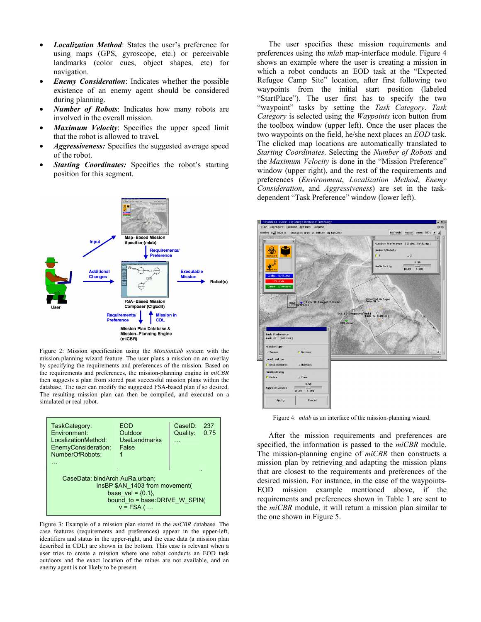- *Localization Method*: States the user's preference for using maps (GPS, gyroscope, etc.) or perceivable landmarks (color cues, object shapes, etc) for navigation.
- *Enemy Consideration*: Indicates whether the possible existence of an enemy agent should be considered during planning.
- *Number of Robots*: Indicates how many robots are involved in the overall mission.
- *Maximum Velocity*: Specifies the upper speed limit that the robot is allowed to travel*.*
- *Aggressiveness:* Specifies the suggested average speed of the robot.
- **Starting Coordinates:** Specifies the robot's starting position for this segment.



Figure 2: Mission specification using the *MissionLab* system with the mission-planning wizard feature. The user plans a mission on an overlay by specifying the requirements and preferences of the mission. Based on the requirements and preferences, the mission-planning engine in *miCBR* then suggests a plan from stored past successful mission plans within the database. The user can modify the suggested FSA-based plan if so desired. The resulting mission plan can then be compiled, and executed on a simulated or real robot.

| TaskCategory:<br>Environment:<br>LocalizationMethod:<br>EnemyConsideration:<br>NumberOfRobots:                                              | EOD<br>Outdoor<br>UseLandmarks<br>False | CaseID:<br>Quality: | 237<br>0.75 |  |
|---------------------------------------------------------------------------------------------------------------------------------------------|-----------------------------------------|---------------------|-------------|--|
| CaseData: bindArch AuRa.urban;<br>InsBP \$AN 1403 from movement(<br>base vel = $\{0.1\}$ ,<br>bound to = base: DRIVE W SPIN(<br>$v = FSA$ ( |                                         |                     |             |  |

Figure 3: Example of a mission plan stored in the *miCBR* database. The case features (requirements and preferences) appear in the upper-left, identifiers and status in the upper-right, and the case data (a mission plan described in CDL) are shown in the bottom. This case is relevant when a user tries to create a mission where one robot conducts an EOD task outdoors and the exact location of the mines are not available, and an enemy agent is not likely to be present.

The user specifies these mission requirements and preferences using the *mlab* map-interface module. Figure 4 shows an example where the user is creating a mission in which a robot conducts an EOD task at the "Expected Refugee Camp Site" location, after first following two waypoints from the initial start position (labeled "StartPlace"). The user first has to specify the two "waypoint" tasks by setting the *Task Category*. *Task Category* is selected using the *Waypoints* icon button from the toolbox window (upper left). Once the user places the two waypoints on the field, he/she next places an *EOD* task. The clicked map locations are automatically translated to *Starting Coordinates*. Selecting the *Number of Robots* and the *Maximum Velocity* is done in the "Mission Preference" window (upper right), and the rest of the requirements and preferences (*Environment*, *Localization Method*, *Enemy Consideration*, and *Aggressiveness*) are set in the taskdependent "Task Preference" window (lower left).



Figure 4: *mlab* as an interface of the mission-planning wizard.

After the mission requirements and preferences are specified, the information is passed to the *miCBR* module. The mission-planning engine of *miCBR* then constructs a mission plan by retrieving and adapting the mission plans that are closest to the requirements and preferences of the desired mission. For instance, in the case of the waypoints-EOD mission example mentioned above, if the requirements and preferences shown in Table 1 are sent to the *miCBR* module, it will return a mission plan similar to the one shown in Figure 5.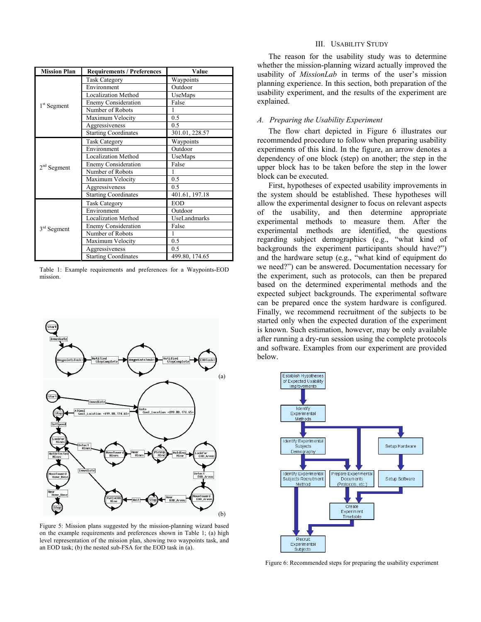| <b>Mission Plan</b>     | <b>Requirements / Preferences</b> | Value          |  |  |
|-------------------------|-----------------------------------|----------------|--|--|
|                         | <b>Task Category</b>              | Waypoints      |  |  |
|                         | Environment                       | Outdoor        |  |  |
|                         | <b>Localization Method</b>        | UseMaps        |  |  |
| 1 <sup>st</sup> Segment | <b>Enemy Consideration</b>        | False          |  |  |
|                         | Number of Robots                  |                |  |  |
|                         | Maximum Velocity                  | 0.5            |  |  |
|                         | Aggressiveness                    | 0.5            |  |  |
|                         | <b>Starting Coordinates</b>       | 301.01, 228.57 |  |  |
|                         | <b>Task Category</b>              | Waypoints      |  |  |
|                         | Environment                       | Outdoor        |  |  |
|                         | <b>Localization Method</b>        | UseMaps        |  |  |
| $2nd$ Segment           | <b>Enemy Consideration</b>        | False          |  |  |
|                         | Number of Robots                  |                |  |  |
|                         | Maximum Velocity                  | 0.5            |  |  |
|                         | Aggressiveness                    | 0.5            |  |  |
|                         | <b>Starting Coordinates</b>       | 401.61, 197.18 |  |  |
|                         | <b>Task Category</b>              | <b>EOD</b>     |  |  |
|                         | Environment                       | Outdoor        |  |  |
|                         | <b>Localization Method</b>        | UseLandmarks   |  |  |
| 3 <sup>rd</sup> Segment | <b>Enemy Consideration</b>        | False          |  |  |
|                         | Number of Robots                  |                |  |  |
|                         | Maximum Velocity                  | 0.5            |  |  |
|                         | Aggressiveness                    | 0.5            |  |  |
|                         | <b>Starting Coordinates</b>       | 499.80, 174.65 |  |  |

Table 1: Example requirements and preferences for a Waypoints-EOD mission.



Figure 5: Mission plans suggested by the mission-planning wizard based on the example requirements and preferences shown in Table 1; (a) high level representation of the mission plan, showing two waypoints task, and an EOD task; (b) the nested sub-FSA for the EOD task in (a).

# III. USABILITY STUDY

The reason for the usability study was to determine whether the mission-planning wizard actually improved the usability of *MissionLab* in terms of the user's mission planning experience. In this section, both preparation of the usability experiment, and the results of the experiment are explained.

# *A. Preparing the Usability Experiment*

The flow chart depicted in Figure 6 illustrates our recommended procedure to follow when preparing usability experiments of this kind. In the figure, an arrow denotes a dependency of one block (step) on another; the step in the upper block has to be taken before the step in the lower block can be executed.

First, hypotheses of expected usability improvements in the system should be established. These hypotheses will allow the experimental designer to focus on relevant aspects of the usability, and then determine appropriate experimental methods to measure them. After the experimental methods are identified, the questions regarding subject demographics (e.g., "what kind of backgrounds the experiment participants should have?") and the hardware setup (e.g., "what kind of equipment do we need?") can be answered. Documentation necessary for the experiment, such as protocols, can then be prepared based on the determined experimental methods and the expected subject backgrounds. The experimental software can be prepared once the system hardware is configured. Finally, we recommend recruitment of the subjects to be started only when the expected duration of the experiment is known. Such estimation, however, may be only available after running a dry-run session using the complete protocols and software. Examples from our experiment are provided below.



Figure 6: Recommended steps for preparing the usability experiment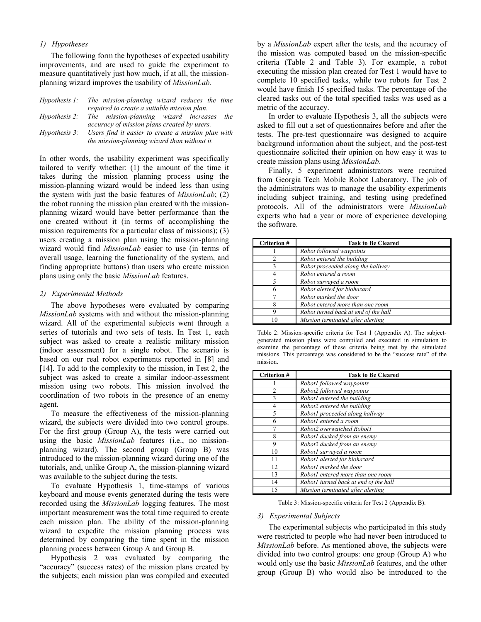# *1) Hypotheses*

The following form the hypotheses of expected usability improvements, and are used to guide the experiment to measure quantitatively just how much, if at all, the missionplanning wizard improves the usability of *MissionLab*.

|                      | Hypothesis 1: The mission-planning wizard reduces the time |  |  |  |
|----------------------|------------------------------------------------------------|--|--|--|
|                      | required to create a suitable mission plan.                |  |  |  |
|                      | the<br>Hypothesis 2: The mission-planning wizard increases |  |  |  |
|                      | accuracy of mission plans created by users.                |  |  |  |
| <i>Hypothesis 3:</i> | Users find it easier to create a mission plan with         |  |  |  |
|                      | the mission-planning wizard than without it.               |  |  |  |

In other words, the usability experiment was specifically tailored to verify whether: (1) the amount of the time it takes during the mission planning process using the mission-planning wizard would be indeed less than using the system with just the basic features of *MissionLab*; (2) the robot running the mission plan created with the missionplanning wizard would have better performance than the one created without it (in terms of accomplishing the mission requirements for a particular class of missions); (3) users creating a mission plan using the mission-planning wizard would find *MissionLab* easier to use (in terms of overall usage, learning the functionality of the system, and finding appropriate buttons) than users who create mission plans using only the basic *MissionLab* features.

#### *2) Experimental Methods*

The above hypotheses were evaluated by comparing *MissionLab* systems with and without the mission-planning wizard. All of the experimental subjects went through a series of tutorials and two sets of tests. In Test 1, each subject was asked to create a realistic military mission (indoor assessment) for a single robot. The scenario is based on our real robot experiments reported in [8] and [14]. To add to the complexity to the mission, in Test 2, the subject was asked to create a similar indoor-assessment mission using two robots. This mission involved the coordination of two robots in the presence of an enemy agent.

To measure the effectiveness of the mission-planning wizard, the subjects were divided into two control groups. For the first group (Group A), the tests were carried out using the basic *MissionLab* features (i.e., no missionplanning wizard). The second group (Group B) was introduced to the mission-planning wizard during one of the tutorials, and, unlike Group A, the mission-planning wizard was available to the subject during the tests.

 To evaluate Hypothesis 1, time-stamps of various keyboard and mouse events generated during the tests were recorded using the *MissionLab* logging features. The most important measurement was the total time required to create each mission plan. The ability of the mission-planning wizard to expedite the mission planning process was determined by comparing the time spent in the mission planning process between Group A and Group B.

 Hypothesis 2 was evaluated by comparing the "accuracy" (success rates) of the mission plans created by the subjects; each mission plan was compiled and executed

by a *MissionLab* expert after the tests, and the accuracy of the mission was computed based on the mission-specific criteria (Table 2 and Table 3). For example, a robot executing the mission plan created for Test 1 would have to complete 10 specified tasks, while two robots for Test 2 would have finish 15 specified tasks. The percentage of the cleared tasks out of the total specified tasks was used as a metric of the accuracy.

In order to evaluate Hypothesis 3, all the subjects were asked to fill out a set of questionnaires before and after the tests. The pre-test questionnaire was designed to acquire background information about the subject, and the post-test questionnaire solicited their opinion on how easy it was to create mission plans using *MissionLab*.

Finally, 5 experiment administrators were recruited from Georgia Tech Mobile Robot Laboratory. The job of the administrators was to manage the usability experiments including subject training, and testing using predefined protocols. All of the administrators were *MissionLab* experts who had a year or more of experience developing the software.

| <b>Criterion#</b> | <b>Task to Be Cleared</b>            |  |  |  |  |
|-------------------|--------------------------------------|--|--|--|--|
|                   | Robot followed waypoints             |  |  |  |  |
|                   | Robot entered the building           |  |  |  |  |
|                   | Robot proceeded along the hallway    |  |  |  |  |
|                   | Robot entered a room                 |  |  |  |  |
|                   | Robot surveyed a room                |  |  |  |  |
|                   | Robot alerted for biohazard          |  |  |  |  |
|                   | Robot marked the door                |  |  |  |  |
| 8                 | Robot entered more than one room     |  |  |  |  |
| 9                 | Robot turned back at end of the hall |  |  |  |  |
|                   | Mission terminated after alerting    |  |  |  |  |

Table 2: Mission-specific criteria for Test 1 (Appendix A). The subjectgenerated mission plans were compiled and executed in simulation to examine the percentage of these criteria being met by the simulated missions. This percentage was considered to be the "success rate" of the mission.

| <b>Criterion#</b> | <b>Task to Be Cleared</b>             |  |  |  |
|-------------------|---------------------------------------|--|--|--|
|                   | Robot1 followed waypoints             |  |  |  |
| $\overline{c}$    | Robot2 followed waypoints             |  |  |  |
| 3                 | Robot1 entered the building           |  |  |  |
| 4                 | Robot2 entered the building           |  |  |  |
| 5                 | Robot1 proceeded along hallway        |  |  |  |
| 6                 | Robot1 entered a room                 |  |  |  |
|                   | Robot2 overwatched Robot1             |  |  |  |
| 8                 | Robot1 ducked from an enemy           |  |  |  |
| 9                 | Robot2 ducked from an enemy           |  |  |  |
| 10                | Robot1 surveyed a room                |  |  |  |
| 11                | Robot1 alerted for biohazard          |  |  |  |
| 12                | Robot1 marked the door                |  |  |  |
| 13                | Robot1 entered more than one room     |  |  |  |
| 14                | Robot1 turned back at end of the hall |  |  |  |
| 15                | Mission terminated after alerting     |  |  |  |

Table 3: Mission-specific criteria for Test 2 (Appendix B).

#### *3) Experimental Subjects*

The experimental subjects who participated in this study were restricted to people who had never been introduced to *MissionLab* before. As mentioned above, the subjects were divided into two control groups: one group (Group A) who would only use the basic *MissionLab* features, and the other group (Group B) who would also be introduced to the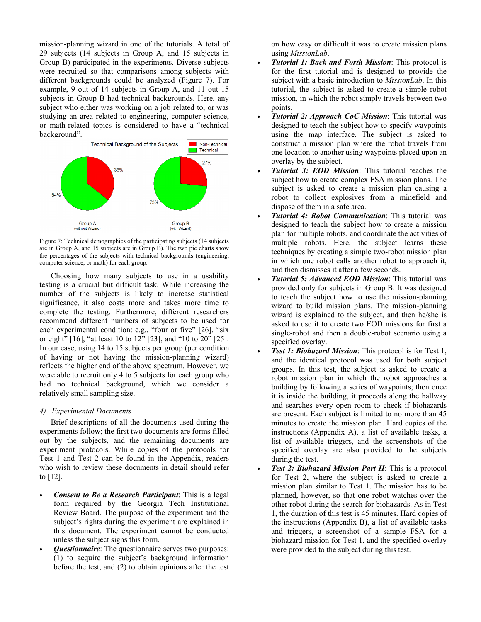mission-planning wizard in one of the tutorials. A total of 29 subjects (14 subjects in Group A, and 15 subjects in Group B) participated in the experiments. Diverse subjects were recruited so that comparisons among subjects with different backgrounds could be analyzed (Figure 7). For example, 9 out of 14 subjects in Group A, and 11 out 15 subjects in Group B had technical backgrounds. Here, any subject who either was working on a job related to, or was studying an area related to engineering, computer science, or math-related topics is considered to have a "technical background".



Figure 7: Technical demographics of the participating subjects (14 subjects are in Group A, and 15 subjects are in Group B). The two pie charts show the percentages of the subjects with technical backgrounds (engineering, computer science, or math) for each group.

 Choosing how many subjects to use in a usability testing is a crucial but difficult task. While increasing the number of the subjects is likely to increase statistical significance, it also costs more and takes more time to complete the testing. Furthermore, different researchers recommend different numbers of subjects to be used for each experimental condition: e.g., "four or five" [26], "six or eight" [16], "at least 10 to 12" [23], and "10 to 20" [25]. In our case, using 14 to 15 subjects per group (per condition of having or not having the mission-planning wizard) reflects the higher end of the above spectrum. However, we were able to recruit only 4 to 5 subjects for each group who had no technical background, which we consider a relatively small sampling size.

# *4) Experimental Documents*

Brief descriptions of all the documents used during the experiments follow; the first two documents are forms filled out by the subjects, and the remaining documents are experiment protocols. While copies of the protocols for Test 1 and Test 2 can be found in the Appendix, readers who wish to review these documents in detail should refer to [12].

- *Consent to Be a Research Participant*: This is a legal form required by the Georgia Tech Institutional Review Board. The purpose of the experiment and the subject's rights during the experiment are explained in this document. The experiment cannot be conducted unless the subject signs this form.
- *Questionnaire*: The questionnaire serves two purposes: (1) to acquire the subject's background information before the test, and (2) to obtain opinions after the test

on how easy or difficult it was to create mission plans using *MissionLab*.

- *Tutorial 1: Back and Forth Mission*: This protocol is for the first tutorial and is designed to provide the subject with a basic introduction to *MissionLab*. In this tutorial, the subject is asked to create a simple robot mission, in which the robot simply travels between two points.
- *Tutorial 2: Approach CoC Mission*: This tutorial was designed to teach the subject how to specify waypoints using the map interface. The subject is asked to construct a mission plan where the robot travels from one location to another using waypoints placed upon an overlay by the subject.
- *Tutorial 3: EOD Mission*: This tutorial teaches the subject how to create complex FSA mission plans. The subject is asked to create a mission plan causing a robot to collect explosives from a minefield and dispose of them in a safe area.
- *Tutorial 4: Robot Communication*: This tutorial was designed to teach the subject how to create a mission plan for multiple robots, and coordinate the activities of multiple robots. Here, the subject learns these techniques by creating a simple two-robot mission plan in which one robot calls another robot to approach it, and then dismisses it after a few seconds.
- *Tutorial 5: Advanced EOD Mission*: This tutorial was provided only for subjects in Group B. It was designed to teach the subject how to use the mission-planning wizard to build mission plans. The mission-planning wizard is explained to the subject, and then he/she is asked to use it to create two EOD missions for first a single-robot and then a double-robot scenario using a specified overlay.
- *Test 1: Biohazard Mission*: This protocol is for Test 1, and the identical protocol was used for both subject groups. In this test, the subject is asked to create a robot mission plan in which the robot approaches a building by following a series of waypoints; then once it is inside the building, it proceeds along the hallway and searches every open room to check if biohazards are present. Each subject is limited to no more than 45 minutes to create the mission plan. Hard copies of the instructions (Appendix A), a list of available tasks, a list of available triggers, and the screenshots of the specified overlay are also provided to the subjects during the test.
- *Test 2: Biohazard Mission Part II:* This is a protocol for Test 2, where the subject is asked to create a mission plan similar to Test 1. The mission has to be planned, however, so that one robot watches over the other robot during the search for biohazards. As in Test 1, the duration of this test is 45 minutes. Hard copies of the instructions (Appendix B), a list of available tasks and triggers, a screenshot of a sample FSA for a biohazard mission for Test 1, and the specified overlay were provided to the subject during this test.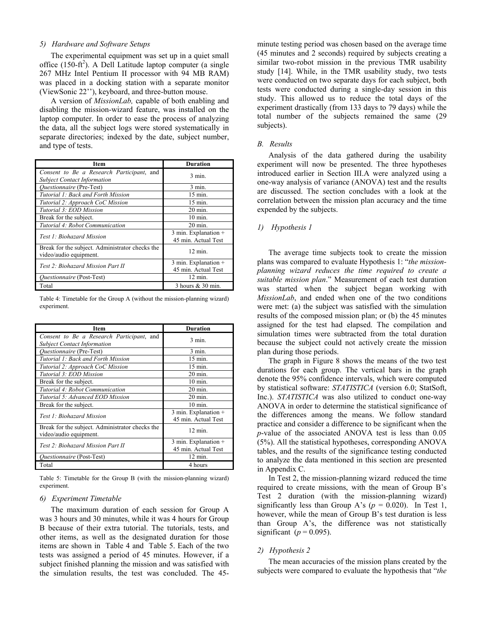# *5) Hardware and Software Setups*

The experimental equipment was set up in a quiet small office  $(150 - ft^2)$ . A Dell Latitude laptop computer (a single 267 MHz Intel Pentium II processor with 94 MB RAM) was placed in a docking station with a separate monitor (ViewSonic 22''), keyboard, and three-button mouse.

A version of *MissionLab,* capable of both enabling and disabling the mission-wizard feature, was installed on the laptop computer. In order to ease the process of analyzing the data, all the subject logs were stored systematically in separate directories; indexed by the date, subject number, and type of tests.

| Item                                                                            | <b>Duration</b>                                 |  |  |
|---------------------------------------------------------------------------------|-------------------------------------------------|--|--|
| Consent to Be a Research Participant, and<br><b>Subject Contact Information</b> | $3 \text{ min}$ .                               |  |  |
| <i><b>Ouestionnaire</b></i> (Pre-Test)                                          | $3 \text{ min}$ .                               |  |  |
| Tutorial 1: Back and Forth Mission                                              | 15 min.                                         |  |  |
| Tutorial 2: Approach CoC Mission                                                | $15 \text{ min}$ .                              |  |  |
| Tutorial 3: EOD Mission                                                         | $20 \text{ min}$ .                              |  |  |
| Break for the subject.                                                          | $10 \text{ min}$ .                              |  |  |
| Tutorial 4: Robot Communication                                                 | $20 \text{ min}$ .                              |  |  |
| Test 1: Biohazard Mission                                                       | $3$ min. Explanation $+$<br>45 min. Actual Test |  |  |
| Break for the subject. Administrator checks the<br>video/audio equipment.       | $12 \text{ min.}$                               |  |  |
| Test 2: Biohazard Mission Part II                                               | $3$ min. Explanation $+$<br>45 min. Actual Test |  |  |
| <i><b>Ouestionnaire</b></i> (Post-Test)                                         | $12 \text{ min.}$                               |  |  |
| Total                                                                           | 3 hours & 30 min.                               |  |  |

Table 4: Timetable for the Group A (without the mission-planning wizard) experiment.

| Item                                                                            | <b>Duration</b>                                 |
|---------------------------------------------------------------------------------|-------------------------------------------------|
| Consent to Be a Research Participant, and<br><b>Subject Contact Information</b> | $3 \text{ min}$ .                               |
| <i><b>Questionnaire</b></i> (Pre-Test)                                          | $3 \text{ min}$ .                               |
| Tutorial 1: Back and Forth Mission                                              | $15 \text{ min}$ .                              |
| Tutorial 2: Approach CoC Mission                                                | 15 min.                                         |
| Tutorial 3: EOD Mission                                                         | $20 \text{ min}$ .                              |
| Break for the subject.                                                          | $10 \text{ min}$ .                              |
| Tutorial 4: Robot Communication                                                 | $20 \text{ min}$ .                              |
| Tutorial 5: Advanced EOD Mission                                                | $20 \text{ min}$ .                              |
| Break for the subject.                                                          | $10 \text{ min}$ .                              |
| Test 1: Biohazard Mission                                                       | $3$ min. Explanation $+$<br>45 min. Actual Test |
| Break for the subject. Administrator checks the<br>video/audio equipment.       | $12 \text{ min}$ .                              |
| Test 2: Biohazard Mission Part II                                               | $3$ min. Explanation $+$<br>45 min. Actual Test |
| <i>Ouestionnaire</i> (Post-Test)                                                | $12 \text{ min}$ .                              |
| Total                                                                           | 4 hours                                         |

Table 5: Timetable for the Group B (with the mission-planning wizard) experiment.

#### *6) Experiment Timetable*

The maximum duration of each session for Group A was 3 hours and 30 minutes, while it was 4 hours for Group B because of their extra tutorial. The tutorials, tests, and other items, as well as the designated duration for those items are shown in Table 4 and Table 5. Each of the two tests was assigned a period of 45 minutes. However, if a subject finished planning the mission and was satisfied with the simulation results, the test was concluded. The 45-

minute testing period was chosen based on the average time (45 minutes and 2 seconds) required by subjects creating a similar two-robot mission in the previous TMR usability study [14]. While, in the TMR usability study, two tests were conducted on two separate days for each subject, both tests were conducted during a single-day session in this study. This allowed us to reduce the total days of the experiment drastically (from 133 days to 79 days) while the total number of the subjects remained the same (29 subjects).

### *B. Results*

Analysis of the data gathered during the usability experiment will now be presented. The three hypotheses introduced earlier in Section III.A were analyzed using a one-way analysis of variance (ANOVA) test and the results are discussed. The section concludes with a look at the correlation between the mission plan accuracy and the time expended by the subjects.

# *1) Hypothesis 1*

The average time subjects took to create the mission plans was compared to evaluate Hypothesis 1: "*the missionplanning wizard reduces the time required to create a suitable mission plan*." Measurement of each test duration was started when the subject began working with *MissionLab*, and ended when one of the two conditions were met: (a) the subject was satisfied with the simulation results of the composed mission plan; or (b) the 45 minutes assigned for the test had elapsed. The compilation and simulation times were subtracted from the total duration because the subject could not actively create the mission plan during those periods.

 The graph in Figure 8 shows the means of the two test durations for each group. The vertical bars in the graph denote the 95% confidence intervals, which were computed by statistical software: *STATISTICA* (version 6.0; StatSoft, Inc.). *STATISTICA* was also utilized to conduct one-way ANOVA in order to determine the statistical significance of the differences among the means. We follow standard practice and consider a difference to be significant when the *p*-value of the associated ANOVA test is less than 0.05 (5%). All the statistical hypotheses, corresponding ANOVA tables, and the results of the significance testing conducted to analyze the data mentioned in this section are presented in Appendix C.

In Test 2, the mission-planning wizard reduced the time required to create missions, with the mean of Group B's Test 2 duration (with the mission-planning wizard) significantly less than Group A's  $(p = 0.020)$ . In Test 1, however, while the mean of Group B's test duration is less than Group A's, the difference was not statistically significant ( $p = 0.095$ ).

## *2) Hypothesis 2*

The mean accuracies of the mission plans created by the subjects were compared to evaluate the hypothesis that "*the*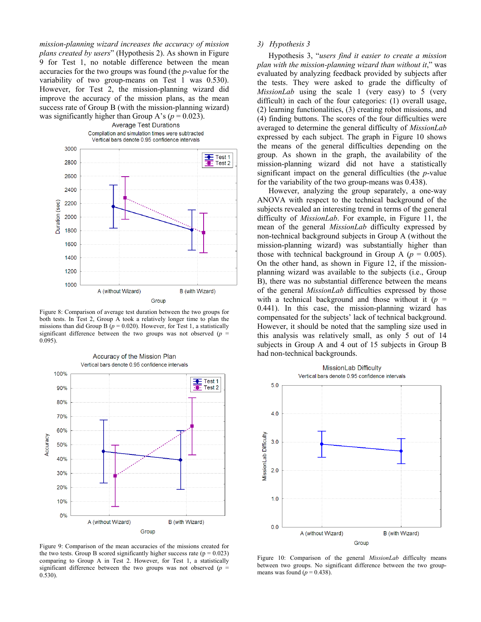*mission-planning wizard increases the accuracy of mission plans created by users*" (Hypothesis 2). As shown in Figure 9 for Test 1, no notable difference between the mean accuracies for the two groups was found (the *p*-value for the variability of two group-means on Test 1 was 0.530). However, for Test 2, the mission-planning wizard did improve the accuracy of the mission plans, as the mean success rate of Group B (with the mission-planning wizard) was significantly higher than Group A's ( $p = 0.023$ ).



Figure 8: Comparison of average test duration between the two groups for both tests. In Test 2, Group A took a relatively longer time to plan the missions than did Group B ( $p = 0.020$ ). However, for Test 1, a statistically significant difference between the two groups was not observed ( $p =$ 0.095).



Accuracy of the Mission Plan

Figure 9: Comparison of the mean accuracies of the missions created for the two tests. Group B scored significantly higher success rate ( $p = 0.023$ ) comparing to Group A in Test 2. However, for Test 1, a statistically significant difference between the two groups was not observed ( $p =$ 0.530).

# *3) Hypothesis 3*

Hypothesis 3, "*users find it easier to create a mission plan with the mission-planning wizard than without it*," was evaluated by analyzing feedback provided by subjects after the tests. They were asked to grade the difficulty of *MissionLab* using the scale 1 (very easy) to 5 (very difficult) in each of the four categories: (1) overall usage, (2) learning functionalities, (3) creating robot missions, and (4) finding buttons. The scores of the four difficulties were averaged to determine the general difficulty of *MissionLab* expressed by each subject. The graph in Figure 10 shows the means of the general difficulties depending on the group. As shown in the graph, the availability of the mission-planning wizard did not have a statistically significant impact on the general difficulties (the *p*-value for the variability of the two group-means was 0.438).

However, analyzing the group separately, a one-way ANOVA with respect to the technical background of the subjects revealed an interesting trend in terms of the general difficulty of *MissionLab*. For example, in Figure 11, the mean of the general *MissionLab* difficulty expressed by non-technical background subjects in Group A (without the mission-planning wizard) was substantially higher than those with technical background in Group A ( $p = 0.005$ ). On the other hand, as shown in Figure 12, if the missionplanning wizard was available to the subjects (i.e., Group B), there was no substantial difference between the means of the general *MissionLab* difficulties expressed by those with a technical background and those without it  $(p =$ 0.441). In this case, the mission-planning wizard has compensated for the subjects' lack of technical background. However, it should be noted that the sampling size used in this analysis was relatively small, as only 5 out of 14 subjects in Group A and 4 out of 15 subjects in Group B had non-technical backgrounds.



Figure 10: Comparison of the general *MissionLab* difficulty means between two groups. No significant difference between the two groupmeans was found  $(p = 0.438)$ .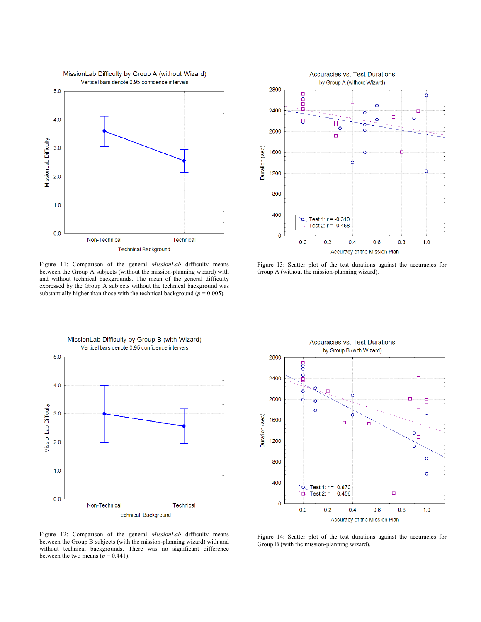

Figure 11: Comparison of the general *MissionLab* difficulty means between the Group A subjects (without the mission-planning wizard) with and without technical backgrounds. The mean of the general difficulty expressed by the Group A subjects without the technical background was substantially higher than those with the technical background ( $p = 0.005$ ).



Figure 13: Scatter plot of the test durations against the accuracies for Group A (without the mission-planning wizard).



Accuracies vs. Test Durations by Group B (with Wizard) 2800 8 å 2400 ō ö ö 2000 ö о Ė  $\circ$  $\Box$  $\circ$ ò Duration (sec) ó 1600  $\Box$ ò  $\circ_{\Box}$ 1200  $\overline{\mathbf{o}}$ ö 800 8 400 Test 1:  $r = -0.870$ þ Þ Test 2:  $r = -0.456$  $\Box$  $\overline{\mathbf{0}}$  $0.0$  $0.2$  $0.4$  $0.6$  $0.8$  $1.0$ Accuracy of the Mission Plan

Figure 12: Comparison of the general *MissionLab* difficulty means between the Group B subjects (with the mission-planning wizard) with and without technical backgrounds. There was no significant difference between the two means  $(p = 0.441)$ .

Figure 14: Scatter plot of the test durations against the accuracies for Group B (with the mission-planning wizard).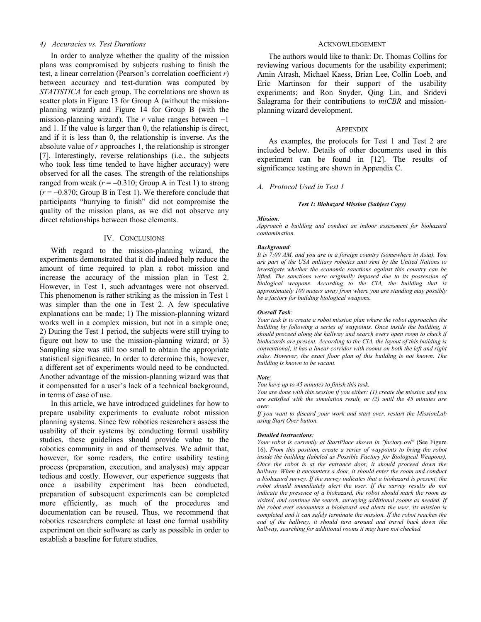# *4) Accuracies vs. Test Durations*

In order to analyze whether the quality of the mission plans was compromised by subjects rushing to finish the test, a linear correlation (Pearson's correlation coefficient *r*) between accuracy and test-duration was computed by *STATISTICA* for each group. The correlations are shown as scatter plots in Figure 13 for Group A (without the missionplanning wizard) and Figure 14 for Group B (with the mission-planning wizard). The *r* value ranges between −1 and 1. If the value is larger than 0, the relationship is direct, and if it is less than 0, the relationship is inverse. As the absolute value of *r* approaches 1, the relationship is stronger [7]. Interestingly, reverse relationships (i.e., the subjects who took less time tended to have higher accuracy) were observed for all the cases. The strength of the relationships ranged from weak  $(r = -0.310)$ ; Group A in Test 1) to strong  $(r = -0.870;$  Group B in Test 1). We therefore conclude that participants "hurrying to finish" did not compromise the quality of the mission plans, as we did not observe any direct relationships between those elements.

#### IV. CONCLUSIONS

With regard to the mission-planning wizard, the experiments demonstrated that it did indeed help reduce the amount of time required to plan a robot mission and increase the accuracy of the mission plan in Test 2. However, in Test 1, such advantages were not observed. This phenomenon is rather striking as the mission in Test 1 was simpler than the one in Test 2. A few speculative explanations can be made; 1) The mission-planning wizard works well in a complex mission, but not in a simple one; 2) During the Test 1 period, the subjects were still trying to figure out how to use the mission-planning wizard; or 3) Sampling size was still too small to obtain the appropriate statistical significance. In order to determine this, however, a different set of experiments would need to be conducted. Another advantage of the mission-planning wizard was that it compensated for a user's lack of a technical background, in terms of ease of use.

In this article, we have introduced guidelines for how to prepare usability experiments to evaluate robot mission planning systems. Since few robotics researchers assess the usability of their systems by conducting formal usability studies, these guidelines should provide value to the robotics community in and of themselves. We admit that, however, for some readers, the entire usability testing process (preparation, execution, and analyses) may appear tedious and costly. However, our experience suggests that once a usability experiment has been conducted, preparation of subsequent experiments can be completed more efficiently, as much of the procedures and documentation can be reused. Thus, we recommend that robotics researchers complete at least one formal usability experiment on their software as early as possible in order to establish a baseline for future studies.

# ACKNOWLEDGEMENT

The authors would like to thank: Dr. Thomas Collins for reviewing various documents for the usability experiment; Amin Atrash, Michael Kaess, Brian Lee, Collin Loeb, and Eric Martinson for their support of the usability experiments; and Ron Snyder, Qing Lin, and Sridevi Salagrama for their contributions to *miCBR* and missionplanning wizard development.

# **APPENDIX**

As examples, the protocols for Test 1 and Test 2 are included below. Details of other documents used in this experiment can be found in [12]. The results of significance testing are shown in Appendix C.

# *A. Protocol Used in Test 1*

#### *Test 1: Biohazard Mission (Subject Copy)*

#### *Mission:*

*Approach a building and conduct an indoor assessment for biohazard contamination.* 

#### *Background:*

*It is 7:00 AM, and you are in a foreign country (somewhere in Asia). You are part of the USA military robotics unit sent by the United Nations to investigate whether the economic sanctions against this country can be lifted. The sanctions were originally imposed due to its possession of biological weapons. According to the CIA, the building that is approximately 100 meters away from where you are standing may possibly be a factory for building biological weapons.* 

#### *Overall Task:*

*Your task is to create a robot mission plan where the robot approaches the building by following a series of waypoints. Once inside the building, it should proceed along the hallway and search every open room to check if biohazards are present. According to the CIA, the layout of this building is conventional; it has a linear corridor with rooms on both the left and right sides. However, the exact floor plan of this building is not known. The building is known to be vacant.*

#### *Note:*

*You have up to 45 minutes to finish this task.* 

*You are done with this session if you either: (1) create the mission and you are satisfied with the simulation result, or (2) until the 45 minutes are over.* 

*If you want to discard your work and start over, restart the MissionLab using Start Over button.* 

#### *Detailed Instructions:*

*Your robot is currently at StartPlace shown in "factory.ovl"* (See Figure 16). *From this position, create a series of waypoints to bring the robot inside the building (labeled as Possible Factory for Biological Weapons). Once the robot is at the entrance door, it should proceed down the hallway. When it encounters a door, it should enter the room and conduct a biohazard survey. If the survey indicates that a biohazard is present, the robot should immediately alert the user. If the survey results do not indicate the presence of a biohazard, the robot should mark the room as visited, and continue the search, surveying additional rooms as needed. If the robot ever encounters a biohazard and alerts the user, its mission is completed and it can safely terminate the mission. If the robot reaches the end of the hallway, it should turn around and travel back down the hallway, searching for additional rooms it may have not checked.*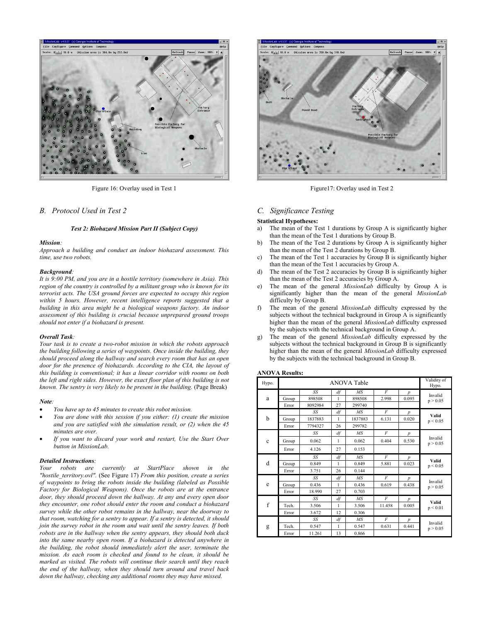

Figure 16: Overlay used in Test 1

#### *B. Protocol Used in Test 2*

#### *Test 2: Biohazard Mission Part II (Subject Copy)*

#### *Mission:*

*Approach a building and conduct an indoor biohazard assessment. This time, use two robots.* 

#### *Background:*

*It is 9:00 PM, and you are in a hostile territory (somewhere in Asia). This region of the country is controlled by a militant group who is known for its terrorist acts. The USA ground forces are expected to occupy this region within 5 hours. However, recent intelligence reports suggested that a building in this area might be a biological weapons factory. An indoor assessment of this building is crucial because unprepared ground troops should not enter if a biohazard is present.* 

#### *Overall Task:*

*Your task is to create a two-robot mission in which the robots approach the building following a series of waypoints. Once inside the building, they should proceed along the hallway and search every room that has an open door for the presence of biohazards. According to the CIA, the layout of this building is conventional; it has a linear corridor with rooms on both the left and right sides. However, the exact floor plan of this building is not known. The sentry is very likely to be present in the building.* (Page Break)

#### *Note:*

- *You have up to 45 minutes to create this robot mission.*
- *You are done with this session if you either: (1) create the mission and you are satisfied with the simulation result, or (2) when the 45 minutes are over.*
- *If you want to discard your work and restart, Use the Start Over button in MissionLab.*

#### *Detailed Instructions:*

*Your robots are currently at StartPlace shown in the "hostile\_territory.ovl".* (See Figure 17) *From this position, create a series of waypoints to bring the robots inside the building (labeled as Possible Factory for Biological Weapons). Once the robots are at the entrance door, they should proceed down the hallway. At any and every open door they encounter, one robot should enter the room and conduct a biohazard survey while the other robot remains in the hallway, near the doorway to that room, watching for a sentry to appear. If a sentry is detected, it should join the survey robot in the room and wait until the sentry leaves. If both robots are in the hallway when the sentry appears, they should both duck into the same nearby open room. If a biohazard is detected anywhere in the building, the robot should immediately alert the user, terminate the mission. As each room is checked and found to be clean, it should be marked as visited. The robots will continue their search until they reach the end of the hallway, when they should turn around and travel back down the hallway, checking any additional rooms they may have missed.* 



Figure17: Overlay used in Test 2

## *C. Significance Testing*

#### **Statistical Hypotheses:**

- a) The mean of the Test 1 durations by Group A is significantly higher than the mean of the Test 1 durations by Group B.
- b) The mean of the Test 2 durations by Group A is significantly higher than the mean of the Test 2 durations by Group B.
- c) The mean of the Test 1 accuracies by Group B is significantly higher than the mean of the Test 1 accuracies by Group A.
- d) The mean of the Test 2 accuracies by Group B is significantly higher than the mean of the Test 2 accuracies by Group A.
- e) The mean of the general *MissionLab* difficulty by Group A is significantly higher than the mean of the general *MissionLab* difficulty by Group B.
- f) The mean of the general *MissionLab* difficulty expressed by the subjects without the technical background in Group A is significantly higher than the mean of the general *MissionLab* difficulty expressed by the subjects with the technical background in Group A.
- The mean of the general *MissionLab* difficulty expressed by the subjects without the technical background in Group B is significantly higher than the mean of the general *MissionLab* difficulty expressed by the subjects with the technical background in Group B.

#### **ANOVA Results:**

| Hypo.       | ANOVA Table |         |    |                 |                | Validity of<br>Hypo. |                     |
|-------------|-------------|---------|----|-----------------|----------------|----------------------|---------------------|
| a           |             | SS      | df | MS              | F              | $\boldsymbol{p}$     | Invalid<br>p > 0.05 |
|             | Group       | 898508  | 1  | 898508          | 2.998          | 0.095                |                     |
|             | Error       | 8092984 | 27 | 299740          |                |                      |                     |
|             |             | SS      | df | MS              | $\overline{F}$ | $\boldsymbol{p}$     |                     |
| b           | Group       | 1837883 | 1  | 1837883         | 6.131          | 0.020                | Valid<br>p < 0.05   |
|             | Error       | 7794327 | 26 | 299782          |                |                      |                     |
|             |             | SS      | df | MS              | F              | $\boldsymbol{p}$     |                     |
| $\mathbf c$ | Group       | 0.062   | 1  | 0.062           | 0404           | 0.530                | Invalid<br>p > 0.05 |
|             | Error       | 4.126   | 27 | 0.153           |                |                      |                     |
|             |             | SS      | df | MS              | F              | $\boldsymbol{p}$     | Valid<br>p < 0.05   |
| d           | Group       | 0.849   | 1  | 0.849           | 5.881          | 0.023                |                     |
|             | Error       | 3.751   | 26 | 0.144           |                |                      |                     |
| e           |             | SS      | df | $\overline{MS}$ | F              | $\boldsymbol{p}$     | Invalid<br>p > 0.05 |
|             | Group       | 0.436   | 1  | 0.436           | 0.619          | 0.438                |                     |
|             | Error       | 18.990  | 27 | 0.703           |                |                      |                     |
| f           |             | SS      | df | MS              | $\overline{F}$ | $\boldsymbol{p}$     | Valid<br>p < 0.01   |
|             | Tech.       | 3.506   | 1  | 3.506           | 11.458         | 0.005                |                     |
|             | Error       | 3.672   | 12 | 0.306           |                |                      |                     |
| g           |             | SS      | df | MS              | $\overline{F}$ | $\boldsymbol{p}$     | Invalid<br>p > 0.05 |
|             | Tech        | 0.547   | 1  | 0.547           | 0.631          | 0.441                |                     |
|             | Error       | 11.261  | 13 | 0.866           |                |                      |                     |